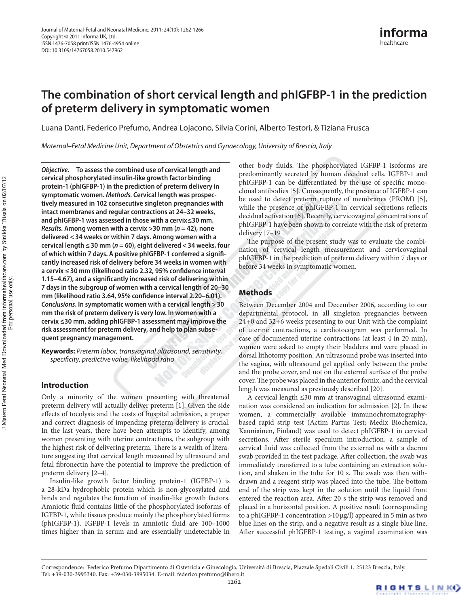# **The combination of short cervical length and phIGFBP-1 in the prediction of preterm delivery in symptomatic women**

Luana Danti, Federico Prefumo, Andrea Lojacono, Silvia Corini, Alberto Testori, & Tiziana Frusca

*Maternal–Fetal Medicine Unit, Department of Obstetrics and Gynaecology, University of Brescia, Italy*

*Objective.* **To assess the combined use of cervical length and cervical phosphorylated insulin-like growth factor binding protein-1 (phIGFBP-1) in the prediction of preterm delivery in symptomatic women.** *Methods.* **Cervical length was prospectively measured in 102 consecutive singleton pregnancies with intact membranes and regular contractions at 24–32 weeks, and phIGFBP-1 was assessed in those with a cervix≤30 mm.**  *Results.* **Among women with a cervix >30 mm (***n* **= 42), none delivered <34 weeks or within 7 days. Among women with a cervical length ≤30 mm (***n* **= 60), eight delivered <34 weeks, four of which within 7 days. A positive phIGFBP-1 conferred a significantly increased risk of delivery before 34 weeks in women with a cervix ≤30 mm (likelihood ratio 2.32, 95% confidence interval 1.15–4.67), and a significantly increased risk of delivering within 7 days in the subgroup of women with a cervical length of 20–30 mm (likelihood ratio 3.64, 95% confidence interval 2.20–6.01).**  *Conclusions***. In symptomatic women with a cervical length >30 mm the risk of preterm delivery is very low. In women with a cervix ≤30 mm, adding phIGFBP-1 assessment may improve the risk assessment for preterm delivery, and help to plan subsequent pregnancy management.**

**Keywords:** *Preterm labor, transvaginal ultrasound, sensitivity, specificity, predictive value, likelihood ratio*

## **Introduction**

Only a minority of the women presenting with threatened preterm delivery will actually deliver preterm [[1](#page-4-0)]. Given the side effects of tocolysis and the costs of hospital admission, a proper and correct diagnosis of impending preterm delivery is crucial. In the last years, there have been attempts to identify, among women presenting with uterine contractions, the subgroup with the highest risk of delivering preterm. There is a wealth of literature suggesting that cervical length measured by ultrasound and fetal fibronectin have the potential to improve the prediction of preterm delivery [2–4].

Insulin-like growth factor binding protein-1 (IGFBP-1) is a 28-kDa hydrophobic protein which is non-glycosylated and binds and regulates the function of insulin-like growth factors. Amniotic fluid contains little of the phosphorylated isoforms of IGFBP-1, while tissues produce mainly the phosphorylated forms (phIGFBP-1). IGFBP-1 levels in amniotic fluid are 100–1000 times higher than in serum and are essentially undetectable in other body fluids. The phosphorylated IGFBP-1 isoforms are predominantly secreted by human decidual cells. IGFBP-1 and phIGFBP-1 can be differentiated by the use of specific monoclonal antibodies [[5](#page-4-1)]. Consequently, the presence of IGFBP-1 can be used to detect preterm rupture of membranes (PROM) [[5\]](#page-4-1), while the presence of phIGFBP-1 in cervical secretions reflects decidual activation [\[6\]](#page-4-2). Recently, cervicovaginal concentrations of phIGFBP-1 have been shown to correlate with the risk of preterm delivery [7–19].

The purpose of the present study was to evaluate the combination of cervical length measurement and cervicovaginal phIGFBP-1 in the prediction of preterm delivery within 7 days or before 34 weeks in symptomatic women.

# **Methods**

Between December 2004 and December 2006, according to our departmental protocol, in all singleton pregnancies between 24+0 and 32+6 weeks presenting to our Unit with the complaint of uterine contractions, a cardiotocogram was performed. In case of documented uterine contractions (at least 4 in 20 min), women were asked to empty their bladders and were placed in dorsal lithotomy position. An ultrasound probe was inserted into the vagina, with ultrasound gel applied only between the probe and the probe cover, and not on the external surface of the probe cover. The probe was placed in the anterior fornix, and the cervical length was measured as previously described [[20](#page-4-3)].

A cervical length ≤30 mm at transvaginal ultrasound examination was considered an indication for admission [\[2\]](#page-4-4). In these women, a commercially available immunochromatographybased rapid strip test (Actim Partus Test; Medix Biochemica, Kauniainen, Finland) was used to detect phIGFBP-1 in cervical secretions. After sterile speculum introduction, a sample of cervical fluid was collected from the external os with a dacron swab provided in the test package. After collection, the swab was immediately transferred to a tube containing an extraction solution, and shaken in the tube for 10 s. The swab was then withdrawn and a reagent strip was placed into the tube. The bottom end of the strip was kept in the solution until the liquid front entered the reaction area. After 20 s the strip was removed and placed in a horizontal position. A positive result (corresponding to a phIGFBP-1 concentration >10μg/l) appeared in 5 min as two blue lines on the strip, and a negative result as a single blue line. After successful phIGFBP-1 testing, a vaginal examination was

Correspondence: Federico Prefumo Dipartimento di Ostetricia e Ginecologia, Università di Brescia, Piazzale Spedali Civili 1, 25123 Brescia, Italy. Tel: +39-030-3995340. Fax: +39-030-3995034. E-mail: [federico.prefumo@libero.it](mailto:federico.prefumo@libero.it)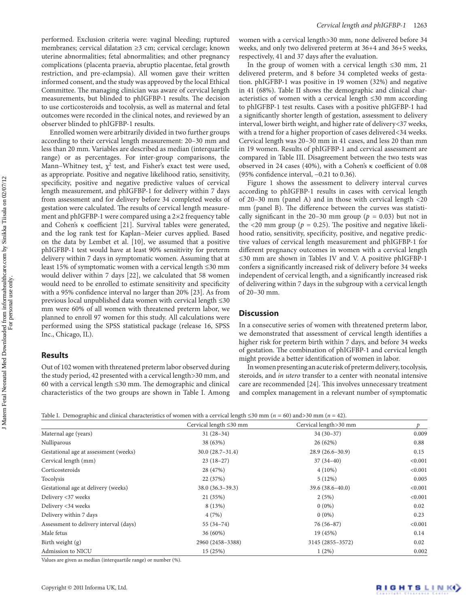performed. Exclusion criteria were: vaginal bleeding; ruptured membranes; cervical dilatation ≥3 cm; cervical cerclage; known uterine abnormalities; fetal abnormalities; and other pregnancy complications (placenta praevia, abruptio placentae, fetal growth restriction, and pre-eclampsia). All women gave their written informed consent, and the study was approved by the local Ethical Committee. The managing clinician was aware of cervical length measurements, but blinded to phIGFBP-1 results. The decision to use corticosteroids and tocolysis, as well as maternal and fetal outcomes were recorded in the clinical notes, and reviewed by an observer blinded to phIGFBP-1 results.

Enrolled women were arbitrarily divided in two further groups according to their cervical length measurement: 20–30 mm and less than 20 mm. Variables are described as median (interquartile range) or as percentages. For inter-group comparisons, the Mann–Whitney test,  $\chi^2$  test, and Fisher's exact test were used, as appropriate. Positive and negative likelihood ratio, sensitivity, specificity, positive and negative predictive values of cervical length measurement, and phIGFBP-1 for delivery within 7 days from assessment and for delivery before 34 completed weeks of gestation were calculated. The results of cervical length measurement and phIGFBP-1 were compared using a 2×2 frequency table and Cohen's κ coefficient [\[21](#page-4-5)]. Survival tables were generated, and the log rank test for Kaplan–Meier curves applied. Based on the data by Lembet et al. [[10\]](#page-4-6), we assumed that a positive phIGFBP-1 test would have at least 90% sensitivity for preterm delivery within 7 days in symptomatic women. Assuming that at least 15% of symptomatic women with a cervical length ≤30 mm would deliver within 7 days [[22\]](#page-4-7), we calculated that 58 women would need to be enrolled to estimate sensitivity and specificity with a 95% confidence interval no larger than 20% [\[23](#page-4-8)]. As from previous local unpublished data women with cervical length ≤30 mm were 60% of all women with threatened preterm labor, we planned to enroll 97 women for this study. All calculations were performed using the SPSS statistical package (release 16, SPSS Inc., Chicago, IL).

## **Results**

Out of 102 women with threatened preterm labor observed during the study period, 42 presented with a cervical length>30 mm, and 60 with a cervical length ≤30 mm. The demographic and clinical characteristics of the two groups are shown in Table I. Among women with a cervical length>30 mm, none delivered before 34 weeks, and only two delivered preterm at 36+4 and 36+5 weeks, respectively, 41 and 37 days after the evaluation.

In the group of women with a cervical length ≤30 mm, 21 delivered preterm, and 8 before 34 completed weeks of gestation. phIGFBP-1 was positive in 19 women (32%) and negative in 41 (68%). Table II shows the demographic and clinical characteristics of women with a cervical length ≤30 mm according to phIGFBP-1 test results. Cases with a positive phIGFBP-1 had a significantly shorter length of gestation, assessment to delivery interval, lower birth weight, and higher rate of delivery<37 weeks, with a trend for a higher proportion of cases delivered<34 weeks. Cervical length was 20–30 mm in 41 cases, and less 20 than mm in 19 women. Results of phIGFBP-1 and cervical assessment are compared in Table III. Disagreement between the two tests was observed in 24 cases (40%), with a Cohen's κ coefficient of 0.08 (95% confidence interval, −0.21 to 0.36).

[Figure 1](#page-2-0) shows the assessment to delivery interval curves according to phIGFBP-1 results in cases with cervical length of 20–30 mm (panel A) and in those with cervical length <20 mm (panel B). The difference between the curves was statistically significant in the 20–30 mm group ( $p = 0.03$ ) but not in the  $\langle 20 \text{ mm}$  group ( $p = 0.25$ ). The positive and negative likelihood ratio, sensitivity, specificity, positive, and negative predictive values of cervical length measurement and phIGFBP-1 for different pregnancy outcomes in women with a cervical length ≤30 mm are shown in Tables IV and V. A positive phIGFBP-1 confers a significantly increased risk of delivery before 34 weeks independent of cervical length, and a significantly increased risk of delivering within 7 days in the subgroup with a cervical length of 20–30 mm.

## **Discussion**

In a consecutive series of women with threatened preterm labor, we demonstrated that assessment of cervical length identifies a higher risk for preterm birth within 7 days, and before 34 weeks of gestation. The combination of phIGFBP-1 and cervical length might provide a better identification of women in labor.

In women presenting an acute risk of preterm delivery, tocolysis, steroids, and *in utero* transfer to a center with neonatal intensive care are recommended [[24](#page-4-9)]. This involves unnecessary treatment and complex management in a relevant number of symptomatic

Table I. Demographic and clinical characteristics of women with a cervical length ≤30 mm (*n* = 60) and>30 mm (*n* = 42).

|                                        | Table 1. Demographic and emilical enaracteristics of women with a cervical length 250 mm ( $n = 00$ ) and 50 mm ( $n = 42$ ). |                       |         |
|----------------------------------------|-------------------------------------------------------------------------------------------------------------------------------|-----------------------|---------|
|                                        | Cervical length $\leq$ 30 mm                                                                                                  | Cervical length>30 mm | p       |
| Maternal age (years)                   | $31(28-34)$                                                                                                                   | $34(30-37)$           | 0.009   |
| Nulliparous                            | 38 (63%)                                                                                                                      | 26(62%)               | 0.88    |
| Gestational age at assessment (weeks)  | $30.0(28.7-31.4)$                                                                                                             | $28.9(26.6-30.9)$     | 0.15    |
| Cervical length (mm)                   | $23(18-27)$                                                                                                                   | $37(34-40)$           | < 0.001 |
| Corticosteroids                        | 28 (47%)                                                                                                                      | $4(10\%)$             | < 0.001 |
| Tocolysis                              | 22 (37%)                                                                                                                      | 5(12%)                | 0.005   |
| Gestational age at delivery (weeks)    | $38.0(36.3-39.3)$                                                                                                             | $39.6(38.6 - 40.0)$   | < 0.001 |
| Delivery <37 weeks                     | 21 (35%)                                                                                                                      | 2(5%)                 | < 0.001 |
| Delivery <34 weeks                     | 8 (13%)                                                                                                                       | $0(0\%)$              | 0.02    |
| Delivery within 7 days                 | 4(7%)                                                                                                                         | $0(0\%)$              | 0.23    |
| Assessment to delivery interval (days) | $55(34-74)$                                                                                                                   | $76(56-87)$           | < 0.001 |
| Male fetus                             | 36 (60%)                                                                                                                      | 19 (45%)              | 0.14    |
| Birth weight $(g)$                     | 2960 (2458-3388)                                                                                                              | 3145 (2855-3572)      | 0.02    |
| Admission to NICU                      | 15 (25%)                                                                                                                      | $1(2\%)$              | 0.002   |

Values are given as median (interquartile range) or number (%).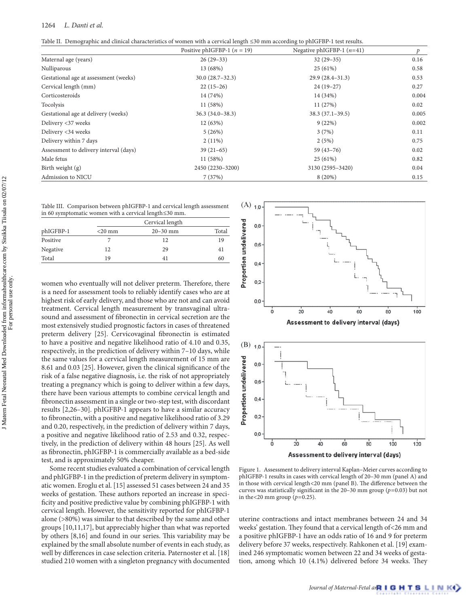Table II. Demographic and clinical characteristics of women with a cervical length ≤30 mm according to phIGFBP-1 test results.

|                                        | Positive phIGFBP-1 $(n = 19)$ | Negative phIGFBP-1 $(n=41)$ | Þ     |
|----------------------------------------|-------------------------------|-----------------------------|-------|
| Maternal age (years)                   | $26(29-33)$                   | $32(29-35)$                 | 0.16  |
| Nulliparous                            | 13 (68%)                      | 25(61%)                     | 0.58  |
| Gestational age at assessment (weeks)  | $30.0(28.7-32.3)$             | $29.9(28.4-31.3)$           | 0.53  |
| Cervical length (mm)                   | $22(15-26)$                   | $24(19-27)$                 | 0.27  |
| Corticosteroids                        | 14 (74%)                      | 14 (34%)                    | 0.004 |
| Tocolysis                              | 11 (58%)                      | 11 (27%)                    | 0.02  |
| Gestational age at delivery (weeks)    | $36.3(34.0-38.3)$             | $38.3(37.1-39.5)$           | 0.005 |
| Delivery <37 weeks                     | 12 (63%)                      | 9(22%)                      | 0.002 |
| Delivery <34 weeks                     | 5(26%)                        | 3(7%)                       | 0.11  |
| Delivery within 7 days                 | $2(11\%)$                     | 2(5%)                       | 0.75  |
| Assessment to delivery interval (days) | $39(21-65)$                   | $59(43-76)$                 | 0.02  |
| Male fetus                             | 11(58%)                       | 25(61%)                     | 0.82  |
| Birth weight $(g)$                     | 2450 (2230-3200)              | 3130 (2595-3420)            | 0.04  |
| Admission to NICU                      | 7(37%)                        | 8(20%)                      | 0.15  |

Table III. Comparison between phIGFBP-1 and cervical length assessment in 60 symptomatic women with a cervical length≤30 mm.

| phIGFBP-1 |           | Cervical length |       |  |
|-----------|-----------|-----------------|-------|--|
|           | $<$ 20 mm | $20 - 30$ mm    | Total |  |
| Positive  |           | 12              | 19    |  |
| Negative  | 12        | 29              | 41    |  |
| Total     | 19        | 41              | 60    |  |

women who eventually will not deliver preterm. Therefore, there is a need for assessment tools to reliably identify cases who are at highest risk of early delivery, and those who are not and can avoid treatment. Cervical length measurement by transvaginal ultrasound and assessment of fibronectin in cervical secretion are the most extensively studied prognostic factors in cases of threatened preterm delivery [[25\]](#page-4-10). Cervicovaginal fibronectin is estimated to have a positive and negative likelihood ratio of 4.10 and 0.35, respectively, in the prediction of delivery within 7–10 days, while the same values for a cervical length measurement of 15 mm are 8.61 and 0.03 [[25](#page-4-10)]. However, given the clinical significance of the risk of a false negative diagnosis, i.e. the risk of not appropriately treating a pregnancy which is going to deliver within a few days, there have been various attempts to combine cervical length and fibronectin assessment in a single or two-step test, with discordant results [[2](#page-4-4)[,2](#page-4-11)[6–30](#page-4-12)]. phIGFBP-1 appears to have a similar accuracy to fibronectin, with a positive and negative likelihood ratio of 3.29 and 0.20, respectively, in the prediction of delivery within 7 days, a positive and negative likelihood ratio of 2.53 and 0.32, respectively, in the prediction of delivery within 48 hours [\[25](#page-4-10)]. As well as fibronectin, phIGFBP-1 is commercially available as a bed-side test, and is approximately 50% cheaper.

Some recent studies evaluated a combination of cervical length and phIGFBP-1 in the prediction of preterm delivery in symptomatic women. Eroglu et al. [\[15](#page-4-13)] assessed 51 cases between 24 and 35 weeks of gestation. These authors reported an increase in specificity and positive predictive value by combining phIGFBP-1 with cervical length. However, the sensitivity reported for phIGFBP-1 alone (>80%) was similar to that described by the same and other groups [\[10](#page-4-6),[11,](#page-4-14)[17](#page-4-15)], but appreciably higher than what was reported by others [\[8](#page-4-16)[,16](#page-4-17)] and found in our series. This variability may be explained by the small absolute number of events in each study, as well by differences in case selection criteria. Paternoster et al. [[18\]](#page-4-18) studied 210 women with a singleton pregnancy with documented





<span id="page-2-0"></span>Figure 1. Assessment to delivery interval Kaplan–Meier curves according to phIGFBP-1 results in cases with cervical length of 20–30 mm (panel A) and in those with cervical length<20 mm (panel B). The difference between the curves was statistically significant in the 20–30 mm group (*p*=0.03) but not in the <20 mm group ( $p=0.25$ ).

uterine contractions and intact membranes between 24 and 34 weeks' gestation. They found that a cervical length of<26 mm and a positive phIGFBP-1 have an odds ratio of 16 and 9 for preterm delivery before 37 weeks, respectively. Rahkonen et al. [[19](#page-4-19)] examined 246 symptomatic women between 22 and 34 weeks of gestation, among which 10 (4.1%) delivered before 34 weeks. They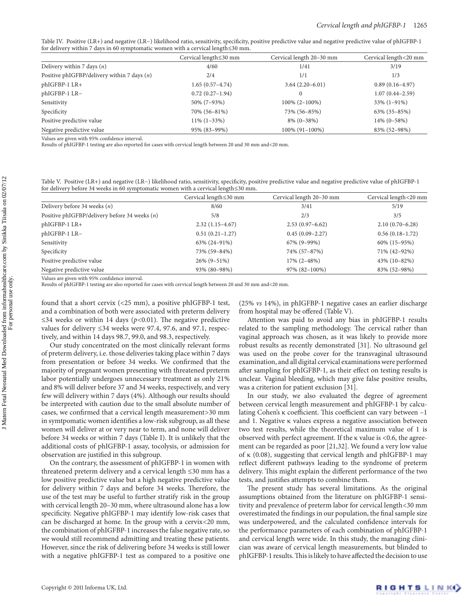Table IV. Positive (LR+) and negative (LR−) likelihood ratio, sensitivity, specificity, positive predictive value and negative predictive value of phIGFBP-1 for delivery within 7 days in 60 symptomatic women with a cervical length  $\leq$ 30 mm.

| $\sim$                                        | $\cdots$<br>Cervical length≤30 mm | Cervical length 20-30 mm | Cervical length<20 mm |
|-----------------------------------------------|-----------------------------------|--------------------------|-----------------------|
| Delivery within 7 days $(n)$                  | 4/60                              | 1/41                     | 3/19                  |
| Positive phIGFBP/delivery within 7 days $(n)$ | 2/4                               | 1/1                      | 1/3                   |
| phIGFBP-1 LR+                                 | $1.65(0.57-4.74)$                 | $3.64(2.20-6.01)$        | $0.89(0.16-4.97)$     |
| phIGFBP-1 LR-                                 | $0.72(0.27-1.94)$                 | $\Omega$                 | $1.07(0.44 - 2.59)$   |
| Sensitivity                                   | 50% (7-93%)                       | $100\%$ (2-100%)         | $33\%$ (1-91%)        |
| Specificity                                   | 70% (56-81%)                      | 73% (56-85%)             | $63\%$ $(35-85\%)$    |
| Positive predictive value                     | $11\% (1-33\%)$                   | $8\%$ (0-38%)            | $14\%$ (0-58%)        |
| Negative predictive value                     | 95% (83-99%)                      | 100% (91-100%)           | 83% (52-98%)          |

Values are given with 95% confidence interval.

Results of phIGFBP-1 testing are also reported for cases with cervical length between 20 and 30 mm and<20 mm.

Table V. Positive (LR+) and negative (LR−) likelihood ratio, sensitivity, specificity, positive predictive value and negative predictive value of phIGFBP-1 for delivery before 34 weeks in 60 symptomatic women with a cervical length≤30 mm.

|                                                 | Cervical length≤30 mm | Cervical length 20-30 mm | Cervical length<20 mm |
|-------------------------------------------------|-----------------------|--------------------------|-----------------------|
| Delivery before 34 weeks $(n)$                  | 8/60                  | 3/41                     | 5/19                  |
| Positive phIGFBP/delivery before 34 weeks $(n)$ | 5/8                   | 2/3                      | 3/5                   |
| phIGFBP-1 LR+                                   | $2.32(1.15-4.67)$     | $2.53(0.97-6.62)$        | $2.10(0.70 - 6.28)$   |
| phIGFBP-1 LR-                                   | $0.51(0.21-1.27)$     | $0.45(0.09-2.27)$        | $0.56(0.18-1.72)$     |
| Sensitivity                                     | 63% (24-91%)          | $67\%$ (9-99%)           | $60\%$ (15-95%)       |
| Specificity                                     | 73% (59-84%)          | 74% (57-87%)             | 71% (42-92%)          |
| Positive predictive value                       | $26\%$ (9-51%)        | $17\%$ (2-48%)           | $43\%$ (10-82%)       |
| Negative predictive value                       | 93% (80-98%)          | 97% (82-100%)            | 83% (52-98%)          |

Values are given with 95% confidence interval.

Results of phIGFBP-1 testing are also reported for cases with cervical length between 20 and 30 mm and<20 mm.

found that a short cervix (<25 mm), a positive phIGFBP-1 test, and a combination of both were associated with preterm delivery ≤34 weeks or within 14 days ( $p$ <0.01). The negative predictive values for delivery ≤34 weeks were 97.4, 97.6, and 97.1, respectively, and within 14 days 98.7, 99.0, and 98.3, respectively.

Our study concentrated on the most clinically relevant forms of preterm delivery, i.e. those deliveries taking place within 7 days from presentation or before 34 weeks. We confirmed that the majority of pregnant women presenting with threatened preterm labor potentially undergoes unnecessary treatment as only 21% and 8% will deliver before 37 and 34 weeks, respectively, and very few will delivery within 7 days (4%). Although our results should be interpreted with caution due to the small absolute number of cases, we confirmed that a cervical length measurement>30 mm in symtpomatic women identifies a low-risk subgroup, as all these women will deliver at or very near to term, and none will deliver before 34 weeks or within 7 days (Table I). It is unlikely that the additional costs of phIGFBP-1 assay, tocolysis, or admission for observation are justified in this subgroup.

On the contrary, the assessment of phIGFBP-1 in women with threatened preterm delivery and a cervical length ≤30 mm has a low positive predictive value but a high negative predictive value for delivery within 7 days and before 34 weeks. Therefore, the use of the test may be useful to further stratify risk in the group with cervical length 20–30 mm, where ultrasound alone has a low specificity. Negative phIGFBP-1 may identify low-risk cases that can be discharged at home. In the group with a cervix<20 mm, the combination of phIGFBP-1 increases the false negative rate, so we would still recommend admitting and treating these patients. However, since the risk of delivering before 34 weeks is still lower with a negative phIGFBP-1 test as compared to a positive one (25% *vs* 14%), in phIGFBP-1 negative cases an earlier discharge from hospital may be offered (Table V).

Attention was paid to avoid any bias in phIGFBP-1 results related to the sampling methodology. The cervical rather than vaginal approach was chosen, as it was likely to provide more robust results as recently demonstrated [\[31](#page-4-20)]. No ultrasound gel was used on the probe cover for the transvaginal ultrasound examination, and all digital cervical examinations were performed after sampling for phIGFBP-1, as their effect on testing results is unclear. Vaginal bleeding, which may give false positive results, was a criterion for patient exclusion [[31\]](#page-4-20).

In our study, we also evaluated the degree of agreement between cervical length measurement and phIGFBP-1 by calculating Cohen's κ coefficient. This coefficient can vary between –1 and 1. Negative κ values express a negative association between two test results, while the theoretical maximum value of 1 is observed with perfect agreement. If the κ value is <0.6, the agreement can be regarded as poor [[21,](#page-4-5)[32](#page-4-21)]. We found a very low value of κ (0.08), suggesting that cervical length and phIGFBP-1 may reflect different pathways leading to the syndrome of preterm delivery. This might explain the different performance of the two tests, and justifies attempts to combine them.

The present study has several limitations. As the original assumptions obtained from the literature on phIGFBP-1 sensitivity and prevalence of preterm labor for cervical length<30 mm overestimated the findings in our population, the final sample size was underpowered, and the calculated confidence intervals for the performance parameters of each combination of phIGFBP-1 and cervical length were wide. In this study, the managing clinician was aware of cervical length measurements, but blinded to phIGFBP-1 results. This is likely to have affected the decision to use